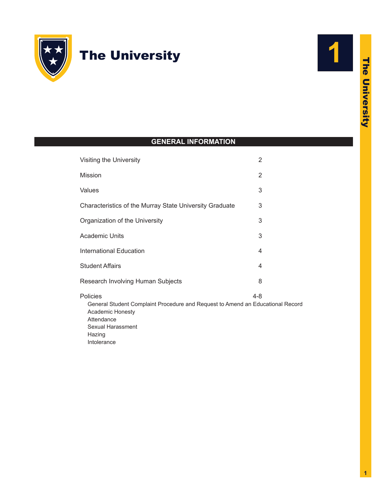

# The University



I

## **GENERAL INFORMATION**

| Visiting the University                                                                                        | 2       |
|----------------------------------------------------------------------------------------------------------------|---------|
| Mission                                                                                                        | 2       |
| Values                                                                                                         | 3       |
| Characteristics of the Murray State University Graduate                                                        | 3       |
| Organization of the University                                                                                 | 3       |
| <b>Academic Units</b>                                                                                          | 3       |
| <b>International Education</b>                                                                                 | 4       |
| <b>Student Affairs</b>                                                                                         | 4       |
| Research Involving Human Subjects                                                                              | 8       |
| Policies<br>General Student Complaint Procedure and Request to Amend an Educational Record<br>Academic Honesty | $4 - 8$ |

[Attendance](#page-5-0) [Sexual Harassment](#page-6-0) [Hazing](#page-7-0) [Intolerance](#page-7-0)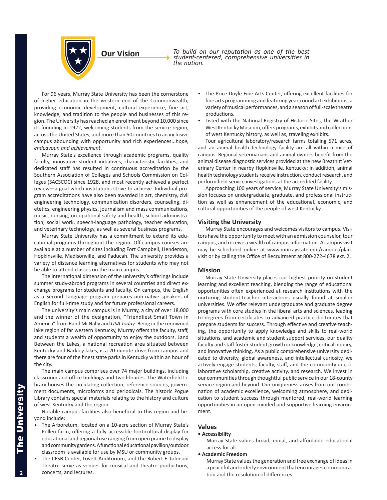<span id="page-1-0"></span>

*To build on our reputation as one of the best student-centered, comprehensive universities in the nation.*

For 96 years, Murray State University has been the cornerstone of higher education in the western end of the Commonwealth, providing economic development, cultural experience, fine art, knowledge, and tradition to the people and businesses of this region. The University has reached an enrollment beyond 10,000 since its founding in 1922, welcoming students from the service region, across the United States, and more than 50 countries to an inclusive campus abounding with opportunity and rich experiences...*hope, endeavour, and achievement*.

Murray State's excellence through academic programs, quality faculty, innovative student initiatives, characteristic facilities, and dedicated staff has resulted in continuous accreditation by the Southern Association of Colleges and Schools Commission on Colleges (SACSCOC) since 1928, and most recently achieved a perfect review—a goal which institutions strive to achieve. Individual program accreditations have also been awarded in art, chemistry, civil engineering technology, communication disorders, counseling, dietetics, engineering physics, journalism and mass communications, music, nursing, occupational safety and health, school administration, social work, speech-language pathology, teacher education, and veterinary technology, as well as several business programs.

Murray State University has a commitment to extend its educational programs throughout the region. Off-campus courses are available at a number of sites including Fort Campbell, Henderson, Hopkinsville, Madisonville, and Paducah. The university provides a variety of distance learning alternatives for students who may not be able to attend classes on the main campus.

The international dimension of the university's offerings include summer study-abroad programs in several countries and direct exchange programs for students and faculty. On campus, the English as a Second Language program prepares non-native speakers of English for full-time study and for future professional careers.

The university's main campus is in Murray, a city of over 18,000 and the winner of the designation, "Friendliest Small Town in America" from Rand McNally and *USA Today*. Being in the renowned lake region of far western Kentucky, Murray offers the faculty, staff, and students a wealth of opportunity to enjoy the outdoors. Land Between the Lakes, a national recreation area situated between Kentucky and Barkley lakes, is a 20-minute drive from campus and there are four of the finest state parks in Kentucky within an hour of the city.

The main campus comprises over 74 major buildings, including classroom and office buildings and two libraries. The Waterfield Library houses the circulating collection, reference sources, government documents, microforms and periodicals. The historic Pogue Library contains special materials relating to the history and culture of west Kentucky and the region.

Notable campus facilities also beneficial to this region and beyond include:

- The Arboretum, located on a 10-acre section of Murray State's Pullen farm, offering a fully accessible horticultural display for educational and regional use ranging from open prairie to display and community gardens. A functional educational pavilion/outdoor classroom is available for use by MSU or community groups.
- The CFSB Center, Lovett Auditorium, and the Robert F. Johnson Theatre serve as venues for musical and theatre productions, concerts, and lectures.
- The Price Doyle Fine Arts Center, offering excellent facilities for fine arts programming and featuring year-round art exhibitions, a variety of musical performances, and a season of full-scale theatre productions.
- Listed with the National Registry of Historic Sites, the Wrather West Kentucky Museum, offers programs, exhibits and collections of west Kentucky history, as well as, traveling exhibits.

Four agricultural laboratory/research farms totalling 571 acres, and an animal health technology facility are all within a mile of campus. Regional veterinarians and animal owners benefit from the animal disease diagnostic services provided at the new Breathitt Veterinary Center in nearby Hopkinsville, Kentucky; in addition, animal health technology students receive instruction, conduct research, and perform field service investigations at the accredited facility.

Approaching 100 years of service, Murray State University's mission focuses on undergraduate, graduate, and professional instruction as well as enhancement of the educational, economic, and cultural opportunities of the people of west Kentucky.

## **Visiting the University**

Murray State encourages and welcomes visitors to campus. Visitors have the opportunity to meet with an admission counselor, tour campus, and receive a wealth of campus information. A campus visit may be scheduled online at [www.murraystate.edu/campus/plan](www.murraystate.edu/campus/planvisit )[visit](www.murraystate.edu/campus/planvisit ) or by calling the Office of Recruitment at 800-272-4678 ext. 2.

## **Mission**

Murray State University places our highest priority on student learning and excellent teaching, blending the range of educational opportunities often experienced at research institutions with the nurturing student-teacher interactions usually found at smaller universities. We offer relevant undergraduate and graduate degree programs with core studies in the liberal arts and sciences, leading to degrees from certificates to advanced practice doctorates that prepare students for success. Through effective and creative teaching, the opportunity to apply knowledge and skills to real-world situations, and academic and student support services, our quality faculty and staff foster student growth in knowledge, critical inquiry, and innovative thinking. As a public comprehensive university dedicated to diversity, global awareness, and intellectual curiosity, we actively engage students, faculty, staff, and the community in collaborative scholarship, creative activity, and research. We invest in our communities through thoughtful public service in our 18-county service region and beyond. Our uniqueness arises from our combination of academic excellence, welcoming atmosphere, and dedication to student success through mentored, real-world learning opportunities in an open-minded and supportive learning environment.

#### **Values**

#### **• Accessibility**

Murray State values broad, equal, and affordable educational access for all.

#### *•* **Academic Freedom**

Murray State values the generation and free exchange of ideas in a peaceful and orderly environment that encourages communication and the resolution of differences.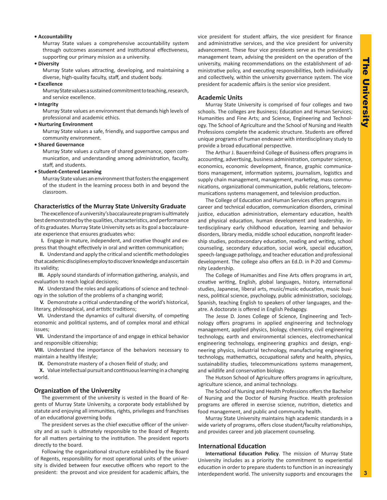## <span id="page-2-0"></span>*•* **Accountability**

Murray State values a comprehensive accountability system through outcomes assessment and institutional effectiveness, supporting our primary mission as a university.

*•* **Diversity**

Murray State values attracting, developing, and maintaining a diverse, high-quality faculty, staff, and student body.

*•* **Excellence**

Murray State values a sustained commitment to teaching, research, and service excellence.

*•* **Integrity**

Murray State values an environment that demands high levels of professional and academic ethics.

*•* **Nurturing Environment**

Murray State values a safe, friendly, and supportive campus and community environment.

*•* **Shared Governance**

Murray State values a culture of shared governance, open communication, and understanding among administration, faculty, staff, and students.

## *•* **Student-Centered Learning**

Murray State values an environment that fosters the engagement of the student in the learning process both in and beyond the classroom.

#### **Characteristics of the Murray State University Graduate**

The excellence of a university's baccalaureate program is ultimately best demonstrated by the qualities, characteristics, and performance of its graduates. Murray State University sets as its goal a baccalaureate experience that ensures graduates who:

**I.** Engage in mature, independent, and creative thought and express that thought effectively in oral and written communication;

**II.** Understand and apply the critical and scientific methodologies that academic disciplines employ to discover knowledge and ascertain its validity;

**III.** Apply sound standards of information gathering, analysis, and evaluation to reach logical decisions;

**IV.** Understand the roles and applications of science and technology in the solution of the problems of a changing world;

**V.** Demonstrate a critical understanding of the world's historical, literary, philosophical, and artistic traditions;

**VI.** Understand the dynamics of cultural diversity, of competing economic and political systems, and of complex moral and ethical issues;

**VII.** Understand the importance of and engage in ethical behavior and responsible citizenship;

**VIII.** Understand the importance of the behaviors necessary to maintain a healthy lifestyle;

**IX.** Demonstrate mastery of a chosen field of study; and

**X.** Value intellectual pursuit and continuous learning in a changing world.

## **Organization of the University**

The government of the university is vested in the Board of Regents of Murray State University, a corporate body established by statute and enjoying all immunities, rights, privileges and franchises of an educational governing body.

The president serves as the chief executive officer of the university and as such is ultimately responsible to the Board of Regents for all matters pertaining to the institution. The president reports directly to the board.

Following the organizational structure established by the Board of Regents, responsibility for most operational units of the university is divided between four executive officers who report to the president: the provost and vice president for academic affairs, the vice president for student affairs, the vice president for finance and administrative services, and the vice president for university advancement. These four vice presidents serve as the president's management team, advising the president on the operation of the university, making recommendations on the establishment of administrative policy, and executing responsibilities, both individually and collectively, within the university governance system. The vice president for academic affairs is the senior vice president.

## **Academic Units**

Murray State University is comprised of four colleges and two schools. The colleges are Business; Education and Human Services; Humanities and Fine Arts; and Science, Engineering and Technology. The School of Agriculture and the School of Nursing and Health Professions complete the academic structure. Students are offered unique programs of human endeavor with interdisciplinary study to provide a broad educational perspective.

The Arthur J. Bauernfeind College of Business offers programs in accounting, advertising, business administration, computer science, economics, economic development, finance, graphic communications management, information systems, journalism, logistics and supply chain management, management, marketing, mass communications, organizational communication, public relations, telecommunications systems management, and television production.

The College of Education and Human Services offers programs in career and technical education, communication disorders, criminal justice, education administration, elementary education, health and physical education, human development and leadership, interdisciplinary early childhood education, learning and behavior disorders, library media, middle school education, nonprofit leadership studies, postsecondary education, reading and writing, school counseling, secondary education, social work, special education, speech-language pathology, and teacher education and professional development. The college also offers an Ed.D. in P-20 and Community Leadership.

The College of Humanities and Fine Arts offers programs in art, creative writing, English, global languages, history, international studies, Japanese, liberal arts, music/music education, music business, political science, psychology, public administration, sociology, Spanish, teaching English to speakers of other languages, and theatre. A doctorate is offered in English Pedagogy.

The Jesse D. Jones College of Science, Engineering and Technology offers programs in applied engineering and technology management, applied physics, biology, chemistry, civil engineering technology, earth and environmental sciences, electromechanical engineering technology, engineering graphics and design, engineering physics, industrial technology, manufacturing engineering technology, mathematics, occupational safety and health, physics, sustainability studies, telecommunications systems management, and wildlife and conservation biology.

The Hutson School of Agriculture offers programs in agriculture, agriculture science, and animal technology.

The School of Nursing and Health Professions offers the Bachelor of Nursing and the Doctor of Nursing Practice. Health profession programs are offered in exercise science, nutrition, dietetics and food management, and public and community health.

Murray State University maintains high academic standards in a wide variety of programs, offers close student/faculty relationships, and provides career and job placement counseling.

## **International Education**

**International Education Policy**. The mission of Murray State University includes as a priority the commitment to experiential education in order to prepare students to function in an increasingly interdependent world. The university supports and encourages the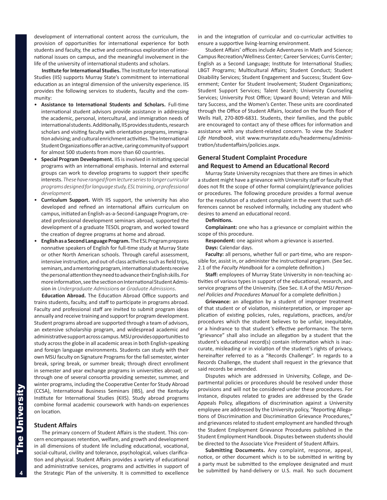<span id="page-3-0"></span>development of international content across the curriculum, the provision of opportunities for international experience for both students and faculty, the active and continuous exploration of international issues on campus, and the meaningful involvement in the life of the university of international students and scholars.

**Institute for International Studies.** The Institute for International Studies (IIS) supports Murray State's commitment to international education as an integral dimension of the university experience. IIS provides the following services to students, faculty and the community:

- • **Assistance to International Students and Scholars.** Full-time international student advisors provide assistance in addressing the academic, personal, intercultural, and immigration needs of international students. Additionally, IIS provides students, research scholars and visiting faculty with orientation programs, immigration advising; and cultural enrichment activities. The International Student Organizations offer an active, caring community of support for almost 500 students from more than 60 countries.
- **Special Program Development.** IIS is involved in initiating special programs with an international emphasis. Internal and external groups can work to develop programs to support their specific interests. *These have ranged from lecture series to longer curricular programs designed for language study, ESL training, or professional development.*
- **Curriculum Support.** With IIS support, the university has also developed and refined an international affairs curriculum on campus, initiated an English-as-a-Second-Language Program, created professional development seminars abroad, supported the development of a graduate TESOL program, and worked toward the creation of degree programs at home and abroad.
- **English as a Second Language Program.** The ESL Program prepares nonnative speakers of English for full-time study at Murray State or other North American schools. Through careful assessment, intensive instruction, and out-of-class activities such as field trips, seminars, and a mentoring program, international students receive the personal attention they need to advance their English skills. For more information, see the section on International Student Admission in *Undergraduate Admission*s or *Graduate Admissions*.

**Education Abroad.** The Education Abroad Office supports and trains students, faculty, and staff to participate in programs abroad. Faculty and professional staff are invited to submit program ideas annually and receive training and support for program development. Student programs abroad are supported through a team of advisors, an extensive scholarship program, and widespread academic and administrative support across campus. MSU provides opportunities to study across the globe in all academic areas in both English-speaking and foreign language environments. Students can study with their own MSU faculty on Signature Programs for the fall semester, winter break, spring break, or summer break; through direct enrollment in semester and year exchange programs in universities abroad; or through one of several consortia providing semester, summer, and winter programs, including the Cooperative Center for Study Abroad (CCSA), International Business Seminars (IBS), and the Kentucky Institute for International Studies (KIIS). Study abroad programs combine formal academic coursework with hands-on experiences on location.

## **Student Affairs**

The primary concern of Student Affairs is the student. This concern encompasses retention, welfare, and growth and development in all dimensions of student life including educational, vocational, social-cultural, civility and tolerance, psychological, values clarification and physical. Student Affairs provides a variety of educational and administrative services, programs and activities in support of the Strategic Plan of the university. It is committed to excellence in and the integration of curricular and co-curricular activities to ensure a supportive living-learning environment.

Student Affairs' offices include Adventures in Math and Science; Campus Recreation/Wellness Center; Career Services; Curris Center; English as a Second Language; Institute for International Studies; LBGT Programs; Multicultural Affairs; Student Conduct; Student Disability Services; Student Engagement and Success; Student Government; Center for Student Involvement; Student Organizations; Student Support Services; Talent Search; University Counseling Services; University Post Office; Upward Bound; Veteran and Military Success, and the Women's Center. These units are coordinated through the Office of Student Affairs, located on the fourth floor of Wells Hall, 270-809-6831. Students, their families, and the public are encouraged to contact any of these offices for information and assistance with any student-related concern. To view the *Student Life Handbook*, visit www.murraystate.edu/headermenu/administration/studentaffairs/policies.aspx.

## **General Student Complaint Procedure and Request to Amend an Educational Record**

Murray State University recognizes that there are times in which a student might have a grievance with University staff or faculty that does not fit the scope of other formal complaint/grievance policies or procedures. The following procedure provides a formal avenue for the resolution of a student complaint in the event that such differences cannot be resolved informally, including any student who desires to amend an educational record.

## **Definitions.**

**Complainant:** one who has a grievance or complaint within the scope of this procedure.

- **Respondent:** one against whom a grievance is asserted.
- **Days:** Calendar days.

**Faculty:** all persons, whether full or part-time, who are responsible for, assist in, or administer the instructional program. (See Sec. 2.1 of the *Faculty Handbook* for a complete definition.)

**Staff:** employees of Murray State University in non-teaching activities of various types in support of the educational, research, and service programs of the University. (See Sec. II.A of the *MSU Personnel Policies and Procedures Manual* for a complete definition.)

**Grievance:** an allegation by a student of improper treatment of that student or of violation, misinterpretation, or improper application of existing policies, rules, regulations, practices, and/or procedures which the student believes to be unfair, inequitable, or a hindrance to that student's effective performance. The term "grievance" shall also include an allegation by a student that the student's educational record(s) contain information which is inaccurate, misleading or in violation of the student's rights of privacy, hereinafter referred to as a "Records Challenge". In regards to a Records Challenge, the student shall request in the grievance that said records be amended.

Disputes which are addressed in University, College, and Departmental policies or procedures should be resolved under those provisions and will not be considered under these procedures. For instance, disputes related to grades are addressed by the Grade Appeals Policy, allegations of discrimination against a University employee are addressed by the University policy, "Reporting Allegations of Discrimination and Discrimination Grievance Procedures," and grievances related to student employment are handled through the Student Employment Grievance Procedures published in the Student Employment Handbook. Disputes between students should be directed to the Associate Vice President of Student Affairs.

**Submitting Documents.** Any complaint, response, appeal, notice, or other document which is to be submitted in writing by a party must be submitted to the employee designated and must be submitted by hand-delivery or U.S. mail. No such document

4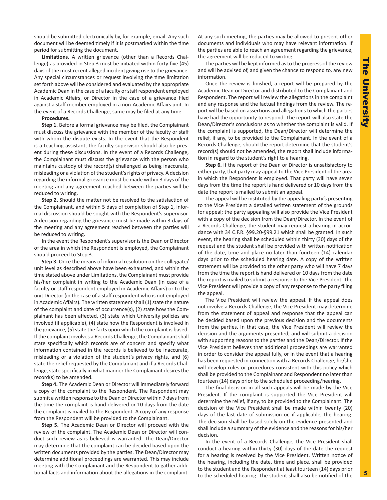should be submitted electronically by, for example, email. Any such document will be deemed timely if it is postmarked within the time period for submitting the document.

**Limitations.** A written grievance (other than a Records Challenge) as provided in Step 3 must be initiated within forty-five (45) days of the most recent alleged incident giving rise to the grievance. Any special circumstances or request involving the time limitation set forth above will be considered and evaluated by the appropriate Academic Dean in the case of a faculty or staff respondent employed in Academic Affairs, or Director in the case of a grievance filed against a staff member employed in a non-Academic Affairs unit. In the event of a Records Challenge, same may be filed at any time.

## **Procedures.**

**Step 1.** Before a formal grievance may be filed, the Complainant must discuss the grievance with the member of the faculty or staff with whom the dispute exists. In the event that the Respondent is a teaching assistant, the faculty supervisor should also be present during these discussions. In the event of a Records Challenge, the Complainant must discuss the grievance with the person who maintains custody of the record(s) challenged as being inaccurate, misleading or a violation of the student's rights of privacy. A decision regarding the informal grievance must be made within 3 days of the meeting and any agreement reached between the parties will be reduced to writing.

**Step 2.** Should the matter not be resolved to the satisfaction of the Complainant, and within 5 days of completion of Step 1, informal discussion should be sought with the Respondent's supervisor. A decision regarding the grievance must be made within 3 days of the meeting and any agreement reached between the parties will be reduced to writing.

In the event the Respondent's supervisor is the Dean or Director of the area in which the Respondent is employed, the Complainant should proceed to Step 3.

**Step 3.** Once the means of informal resolution on the collegiate/ unit level as described above have been exhausted, and within the time stated above under Limitations, the Complainant must provide his/her complaint in writing to the Academic Dean (in case of a faculty or staff respondent employed in Academic Affairs) or to the unit Director (in the case of a staff respondent who is not employed in Academic Affairs). The written statement shall (1) state the nature of the complaint and date of occurrence(s), (2) state how the Complainant has been affected, (3) state which University policies are involved (if applicable), (4) state how the Respondent is involved in the grievance, (5) state the facts upon which the complaint is based. If the complaint involves a Records Challenge, the Complainant shall state specifically which records are of concern and specify what information contained in the records is believed to be inaccurate, misleading or a violation of the student's privacy rights, and (6) state the relief requested by the Complainant and if a Records Challenge, state specifically in what manner the Complainant desires the record(s) to be amended.

**Step 4.** The Academic Dean or Director will immediately forward a copy of the complaint to the Respondent. The Respondent may submit a written response to the Dean or Director within 7 days from the time the complaint is hand delivered or 10 days from the date the complaint is mailed to the Respondent. A copy of any response from the Respondent will be provided to the Complainant.

**Step 5.** The Academic Dean or Director will proceed with the review of the complaint. The Academic Dean or Director will conduct such review as is believed is warranted. The Dean/Director may determine that the complaint can be decided based upon the written documents provided by the parties. The Dean/Director may determine additional proceedings are warranted. This may include meeting with the Complainant and the Respondent to gather additional facts and information about the allegations in the complaint. At any such meeting, the parties may be allowed to present other documents and individuals who may have relevant information. If the parties are able to reach an agreement regarding the grievance, the agreement will be reduced to writing.

The parties will be kept informed as to the progress of the review and will be advised of, and given the chance to respond to, any new information.

Once the review is finished, a report will be prepared by the Academic Dean or Director and distributed to the Complainant and Respondent. The report will review the allegations in the complaint and any response and the factual findings from the review. The report will be based on assertions and allegations to which the parties have had the opportunity to respond. The report will also state the Dean/Director's conclusions as to whether the complaint is valid. If the complaint is supported, the Dean/Director will determine the relief, if any, to be provided to the Complainant. In the event of a Records Challenge, should the report determine that the student's record(s) should not be amended, the report shall include information in regard to the student's right to a hearing.

**Step 6.** If the report of the Dean or Director is unsatisfactory to either party, that party may appeal to the Vice President of the area in which the Respondent is employed. That party will have seven days from the time the report is hand delivered or 10 days from the date the report is mailed to submit an appeal.

The appeal will be instituted by the appealing party's presenting to the Vice President a detailed written statement of the grounds for appeal; the party appealing will also provide the Vice President with a copy of the decision from the Dean/Director. In the event of a Records Challenge, the student may request a hearing in accordance with 34 C.F.R. §99.20-§99.21 which shall be granted. In such event, the hearing shall be scheduled within thirty (30) days of the request and the student shall be provided with written notification of the date, time and place no later than fourteen (14) calendar days prior to the scheduled hearing date. A copy of the written statement will be provided to the other party who will have 7 days from the time the report is hand delivered or 10 days from the date the report is mailed to submit a response to the Vice President. The Vice President will provide a copy of any response to the party filing the appeal.

The Vice President will review the appeal. If the appeal does not involve a Records Challenge, the Vice President may determine from the statement of appeal and response that the appeal can be decided based upon the previous decision and the documents from the parties. In that case, the Vice President will review the decision and the arguments presented, and will submit a decision with supporting reasons to the parties and the Dean/Director. If the Vice President believes that additional proceedings are warranted in order to consider the appeal fully, or in the event that a hearing has been requested in connection with a Records Challenge, he/she will develop rules or procedures consistent with this policy which shall be provided to the Complainant and Respondent no later than fourteen (14) days prior to the scheduled proceeding/hearing.

The final decision in all such appeals will be made by the Vice President. If the complaint is supported the Vice President will determine the relief, if any, to be provided to the Complainant. The decision of the Vice President shall be made within twenty (20) days of the last date of submission or, if applicable, the hearing. The decision shall be based solely on the evidence presented and shall include a summary of the evidence and the reasons for his/her decision.

In the event of a Records Challenge, the Vice President shall conduct a hearing within thirty (30) days of the date the request for a hearing is received by the Vice President. Written notice of the hearing, including the date, time and place, shall be provided to the student and the Respondent at least fourteen (14) days prior to the scheduled hearing. The student shall also be notified of the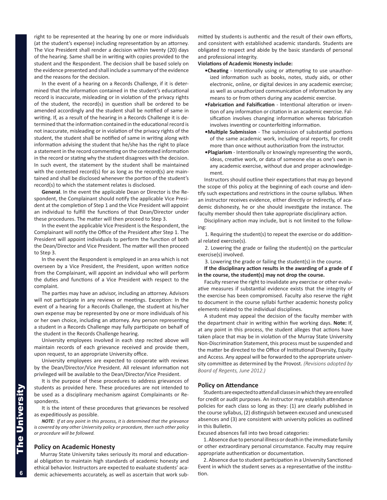<span id="page-5-0"></span>right to be represented at the hearing by one or more individuals (at the student's expense) including representation by an attorney. The Vice President shall render a decision within twenty (20) days of the hearing. Same shall be in writing with copies provided to the student and the Respondent. The decision shall be based solely on the evidence presented and shall include a summary of the evidence and the reasons for the decision.

In the event of a hearing on a Records Challenge, if it is determined that the information contained in the student's educational record is inaccurate, misleading or in violation of the privacy rights of the student, the record(s) in question shall be ordered to be amended accordingly and the student shall be notified of same in writing. If, as a result of the hearing in a Records Challenge it is determined that the information contained in the educational record is not inaccurate, misleading or in violation of the privacy rights of the student, the student shall be notified of same in writing along with information advising the student that he/she has the right to place a statement in the record commenting on the contested information in the record or stating why the student disagrees with the decision. In such event, the statement by the student shall be maintained with the contested record(s) for as long as the record(s) are maintained and shall be disclosed whenever the portion of the student's record(s) to which the statement relates is disclosed.

**General**. In the event the applicable Dean or Director is the Respondent, the Complainant should notify the applicable Vice President at the completion of Step 1 and the Vice President will appoint an individual to fulfill the functions of that Dean/Director under these procedures. The matter will then proceed to Step 3.

In the event the applicable Vice President is the Respondent, the Complainant will notify the Office of the President after Step 1. The President will appoint individuals to perform the function of both the Dean/Director and Vice President. The matter will then proceed to Step 3.

In the event the Respondent is employed in an area which is not overseen by a Vice President, the President, upon written notice from the Complainant, will appoint an individual who will perform the duties and functions of a Vice President with respect to the complaint.

The parties may have an advisor, including an attorney. Advisors will not participate in any reviews or meetings. Exception: In the event of a hearing for a Records Challenge, the student at his/her own expense may be represented by one or more individuals of his or her own choice, including an attorney. Any person representing a student in a Records Challenge may fully participate on behalf of the student in the Records Challenge hearing.

University employees involved in each step recited above will maintain records of each grievance received and provide them, upon request, to an appropriate University office.

University employees are expected to cooperate with reviews by the Dean/Director/Vice President. All relevant information not privileged will be available to the Dean/Director/Vice President.

It is the purpose of these procedures to address grievances of students as provided here. These procedures are not intended to be used as a disciplinary mechanism against Complainants or Respondents.

It is the intent of these procedures that grievances be resolved as expeditiously as possible.

*NOTE: If at any point in this process, it is determined that the grievance is covered by any other University policy or procedure, then such other policy or procedure will be followed.* 

## **Policy on Academic Honesty**

Murray State University takes seriously its moral and educational obligation to maintain high standards of academic honesty and ethical behavior. Instructors are expected to evaluate students' academic achievements accurately, as well as ascertain that work submitted by students is authentic and the result of their own efforts, and consistent with established academic standards. Students are obligated to respect and abide by the basic standards of personal and professional integrity.

## **Violations of Academic Honesty include:**

- **•Cheating** Intentionally using or attempting to use unauthorized information such as books, notes, study aids, or other electronic, online, or digital devices in any academic exercise; as well as unauthorized communication of information by any means to or from others during any academic exercise.
- **•Fabrication and Falsification** Intentional alteration or invention of any information or citation in an academic exercise. Falsification involves changing information whereas fabrication involves inventing or counterfeiting information.
- **•Multiple Submission** The submission of substantial portions of the same academic work, including oral reports, for credit more than once without authorization from the instructor.
- **•Plagiarism** Intentionally or knowingly representing the words, ideas, creative work, or data of someone else as one's own in any academic exercise, without due and proper acknowledgement.

Instructors should outline their expectations that may go beyond the scope of this policy at the beginning of each course and identify such expectations and restrictions in the course syllabus. When an instructor receives evidence, either directly or indirectly, of academic dishonesty, he or she should investigate the instance. The faculty member should then take appropriate disciplinary action.

Disciplinary action may include, but is not limited to the following:

1. Requiring the student(s) to repeat the exercise or do additional related exercise(s).

2. Lowering the grade or failing the student(s) on the particular exercise(s) involved.

3. Lowering the grade or failing the student(s) in the course.

**If the disciplinary action results in the awarding of a grade of** *E* **in the course, the student(s) may not drop the course.** 

Faculty reserve the right to invalidate any exercise or other evaluative measures if substantial evidence exists that the integrity of the exercise has been compromised. Faculty also reserve the right to document in the course syllabi further academic honesty policy elements related to the individual disciplines.

A student may appeal the decision of the faculty member with the department chair in writing within five working days. **Note:** If, at any point in this process, the student alleges that actions have taken place that may be in violation of the Murray State University Non-Discrimination Statement, this process must be suspended and the matter be directed to the Office of Institutional Diversity, Equity and Access. Any appeal will be forwarded to the appropriate university committee as determined by the Provost. *(Revisions adopted by Board of Regents, June 2012.)*

## **Policy on Attendance**

Students are expected to attend all classes in which they are enrolled for credit or audit purposes. An instructor may establish attendance policies for each class so long as they: (1) are clearly published in the course syllabus, (2) distinguish between excused and unexcused absences and (3) are consistent with university policies as outlined in this Bulletin.

Excused absences fall into two broad categories:

1. Absence due to personal illness or death in the immediate family or other extraordinary personal circumstance. Faculty may require appropriate authentication or documentation.

2. Absence due to student participation in a University Sanctioned Event in which the student serves as a representative of the institution.

6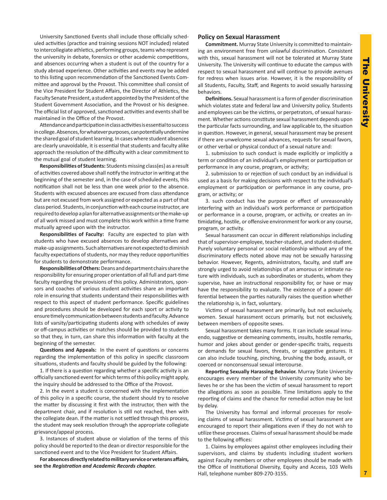<span id="page-6-0"></span>University Sanctioned Events shall include those officially scheduled activities (practice and training sessions NOT included) related to intercollegiate athletics, performing groups, teams who represent the university in debate, forensics or other academic competitions, and absences occurring when a student is out of the country for a study abroad experience. Other activities and events may be added to this listing upon recommendation of the Sanctioned Events Committee and approval by the Provost. This committee shall consist of the Vice President for Student Affairs, the Director of Athletics, the Faculty Senate President, a student appointed by the President of the Student Government Association, and the Provost or his designee. The official list of approved, sanctioned activities and events shall be maintained in the Office of the Provost.

Attendance and participation in class activities is essential to success in college. Absences, for whatever purposes, can potentially undermine the shared goal of student learning. In cases where student absences are clearly unavoidable, it is essential that students and faculty alike approach the resolution of the difficulty with a clear commitment to the mutual goal of student learning.

**Responsibilities of Students:** Students missing class(es) as a result of activities covered above shall notify the instructor in writing at the beginning of the semester and, in the case of scheduled events, this notification shall not be less than one week prior to the absence. Students with excused absences are excused from class attendance but are not excused from work assigned or expected as a part of that class period. Students, in conjunction with each course instructor, are required to develop a plan for alternative assignments or the make-up of all work missed and must complete this work within a time frame mutually agreed upon with the instructor.

**Responsibilities of Faculty:** Faculty are expected to plan with students who have excused absences to develop alternatives and make-up assignments. Such alternatives are not expected to diminish faculty expectations of students, nor may they reduce opportunities for students to demonstrate performance.

**Responsibilities of Others:** Deans and department chairs share the responsibility for ensuring proper orientation of all full and part-time faculty regarding the provisions of this policy. Administrators, sponsors and coaches of various student activities share an important role in ensuring that students understand their responsibilities with respect to this aspect of student performance. Specific guidelines and procedures should be developed for each sport or activity to ensure timely communication between students and faculty. Advance lists of varsity/participating students along with schedules of away or off-campus activities or matches should be provided to students so that they, in turn, can share this information with faculty at the beginning of the semester.

**Questions and Appeals:** In the event of questions or concerns regarding the implementation of this policy in specific classroom situations, students and faculty should be guided by the following:

1. If there is a question regarding whether a specific activity is an officially sanctioned event for which terms of this policy might apply, the inquiry should be addressed to the Office of the Provost.

2. In the event a student is concerned with the implementation of this policy in a specific course, the student should try to resolve the matter by discussing it first with the instructor, then with the department chair, and if resolution is still not reached, then with the collegiate dean. If the matter is not settled through this process, the student may seek resolution through the appropriate collegiate grievance/appeal process.

3. Instances of student abuse or violation of the terms of this policy should be reported to the dean or director responsible for the sanctioned event and to the Vice President for Student Affairs.

**For absences directly related to military service or veterans affairs, see the** *Registration and Academic Records chapter.* 

## **Policy on Sexual Harassment**

**Commitment.** Murray State University is committed to maintaining an environment free from unlawful discrimination. Consistent with this, sexual harassment will not be tolerated at Murray State University. The University will continue to educate the campus with respect to sexual harassment and will continue to provide avenues for redress when issues arise. However, it is the responsibility of all Students, Faculty, Staff, and Regents to avoid sexually harassing behaviors.

**Definitions.** Sexual harassment is a form of gender discrimination which violates state and federal law and University policy. Students and employees can be the victims, or perpetrators, of sexual harassment. Whether actions constitute sexual harassment depends upon the particular facts surrounding, and law applicable to, the situation in question. However, in general, sexual harassment may be present if there are unwelcome sexual advances, requests for sexual favors, or other verbal or physical conduct of a sexual nature and:

1. submission to such conduct is made explicitly or implicitly a term or condition of an individual's employment or participation or performance in any course, program, or activity;

2. submission to or rejection of such conduct by an individual is used as a basis for making decisions with respect to the individual's employment or participation or performance in any course, program, or activity; or

3. such conduct has the purpose or effect of unreasonably interfering with an individual's work performance or participation or performance in a course, program, or activity, or creates an intimidating, hostile, or offensive environment for work or any course, program, or activity.

Sexual harassment can occur in different relationships including that of supervisor-employee, teacher-student, and student-student. Purely voluntary personal or social relationship without any of the discriminatory effects noted above may not be sexually harassing behavior. However, Regents, administrators, faculty, and staff are strongly urged to avoid relationships of an amorous or intimate nature with individuals, such as subordinates or students, whom they supervise, have an instructional responsibility for, or have or may have the responsibility to evaluate. The existence of a power differential between the parties naturally raises the question whether the relationship is, in fact, voluntary.

Victims of sexual harassment are primarily, but not exclusively, women. Sexual harassment occurs primarily, but not exclusively, between members of opposite sexes.

Sexual harassment takes many forms. It can include sexual innuendo, suggestive or demeaning comments, insults, hostile remarks, humor and jokes about gender or gender-specific traits, requests or demands for sexual favors, threats, or suggestive gestures. It can also include touching, pinching, brushing the body, assault, or coerced or nonconsensual sexual intercourse.

**Reporting Sexually Harassing Behavior.** Murray State University encourages every member of the University community who believes he or she has been the victim of sexual harassment to report the allegations as soon as possible. Time limitations apply to the reporting of claims and the chance for remedial action may be lost by delay.

The University has formal and informal processes for resolving claims of sexual harassment. Victims of sexual harassment are encouraged to report their allegations even if they do not wish to utilize these processes. Claims of sexual harassment should be made to the following offices:

1. Claims by employees against other employees including their supervisors, and claims by students including student workers against Faculty members or other employees should be made with the Office of Institutional Diversity, Equity and Access, 103 Wells Hall, telephone number 809-270-3155.